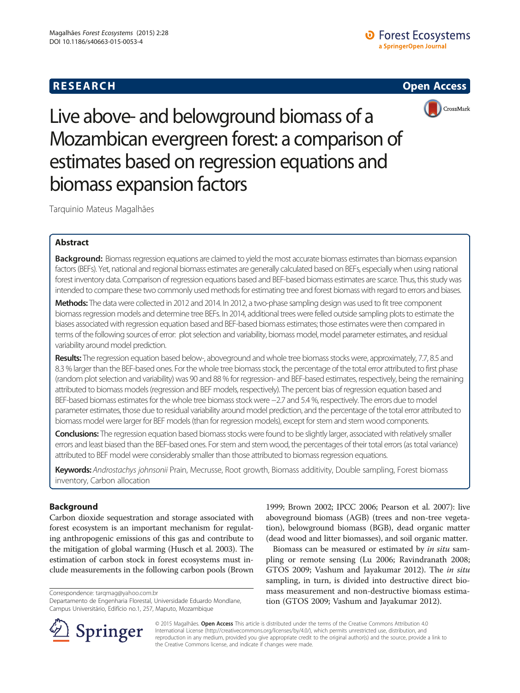# **RESEARCH RESEARCH CONSUMING ACCESS**



Live above- and belowground biomass of a Mozambican evergreen forest: a comparison of estimates based on regression equations and biomass expansion factors

Tarquinio Mateus Magalhães

## Abstract

Background: Biomass regression equations are claimed to yield the most accurate biomass estimates than biomass expansion factors (BEFs). Yet, national and regional biomass estimates are generally calculated based on BEFs, especially when using national forest inventory data. Comparison of regression equations based and BEF-based biomass estimates are scarce. Thus, this study was intended to compare these two commonly used methods for estimating tree and forest biomass with regard to errors and biases.

Methods: The data were collected in 2012 and 2014. In 2012, a two-phase sampling design was used to fit tree component biomass regression models and determine tree BEFs. In 2014, additional trees were felled outside sampling plots to estimate the biases associated with regression equation based and BEF-based biomass estimates; those estimates were then compared in terms of the following sources of error: plot selection and variability, biomass model, model parameter estimates, and residual variability around model prediction.

Results: The regression equation based below-, aboveground and whole tree biomass stocks were, approximately, 7.7, 8.5 and 8.3 % larger than the BEF-based ones. For the whole tree biomass stock, the percentage of the total error attributed to first phase (random plot selection and variability) was 90 and 88 % for regression- and BEF-based estimates, respectively, being the remaining attributed to biomass models (regression and BEF models, respectively). The percent bias of regression equation based and BEF-based biomass estimates for the whole tree biomass stock were −2.7 and 5.4 %, respectively. The errors due to model parameter estimates, those due to residual variability around model prediction, and the percentage of the total error attributed to biomass model were larger for BEF models (than for regression models), except for stem and stem wood components.

Conclusions: The regression equation based biomass stocks were found to be slightly larger, associated with relatively smaller errors and least biased than the BEF-based ones. For stem and stem wood, the percentages of their total errors (as total variance) attributed to BEF model were considerably smaller than those attributed to biomass regression equations.

Keywords: Androstachys johnsonii Prain, Mecrusse, Root growth, Biomass additivity, Double sampling, Forest biomass inventory, Carbon allocation

## Background

Carbon dioxide sequestration and storage associated with forest ecosystem is an important mechanism for regulating anthropogenic emissions of this gas and contribute to the mitigation of global warming (Husch et al. [2003](#page-10-0)). The estimation of carbon stock in forest ecosystems must include measurements in the following carbon pools (Brown

Correspondence: [tarqmag@yahoo.com.br](mailto:tarqmag@yahoo.com.br)

Departamento de Engenharia Florestal, Universidade Eduardo Mondlane, Campus Universitário, Edifício no.1, 257, Maputo, Mozambique



Biomass can be measured or estimated by in situ sampling or remote sensing (Lu [2006;](#page-10-0) Ravindranath [2008](#page-11-0); GTOS [2009;](#page-10-0) Vashum and Jayakumar [2012\)](#page-11-0). The in situ sampling, in turn, is divided into destructive direct biomass measurement and non-destructive biomass estimation (GTOS [2009](#page-10-0); Vashum and Jayakumar [2012\)](#page-11-0).



© 2015 Magalhães. Open Access This article is distributed under the terms of the Creative Commons Attribution 4.0 International License ([http://creativecommons.org/licenses/by/4.0/\)](http://creativecommons.org/licenses/by/4.0/), which permits unrestricted use, distribution, and reproduction in any medium, provided you give appropriate credit to the original author(s) and the source, provide a link to the Creative Commons license, and indicate if changes were made.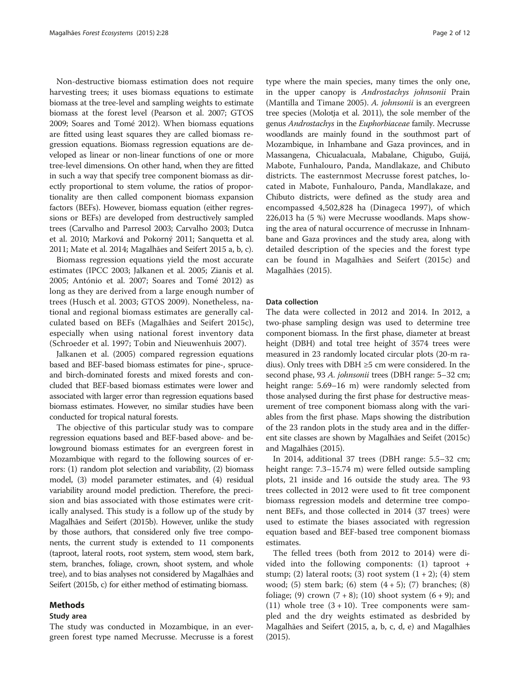Non-destructive biomass estimation does not require harvesting trees; it uses biomass equations to estimate biomass at the tree-level and sampling weights to estimate biomass at the forest level (Pearson et al. [2007;](#page-10-0) GTOS [2009;](#page-10-0) Soares and Tomé [2012\)](#page-11-0). When biomass equations are fitted using least squares they are called biomass regression equations. Biomass regression equations are developed as linear or non-linear functions of one or more tree-level dimensions. On other hand, when they are fitted in such a way that specify tree component biomass as directly proportional to stem volume, the ratios of proportionality are then called component biomass expansion factors (BEFs). However, biomass equation (either regressions or BEFs) are developed from destructively sampled trees (Carvalho and Parresol [2003;](#page-10-0) Carvalho [2003;](#page-10-0) Dutca et al. [2010](#page-10-0); Marková and Pokorný [2011;](#page-10-0) Sanquetta et al. [2011;](#page-11-0) Mate et al. [2014;](#page-10-0) Magalhães and Seifert 2015 [a](#page-10-0), [b](#page-10-0), [c\)](#page-10-0).

Biomass regression equations yield the most accurate estimates (IPCC [2003](#page-10-0); Jalkanen et al. [2005](#page-10-0); Zianis et al. [2005](#page-11-0); António et al. [2007;](#page-9-0) Soares and Tomé [2012](#page-11-0)) as long as they are derived from a large enough number of trees (Husch et al. [2003](#page-10-0); GTOS [2009\)](#page-10-0). Nonetheless, national and regional biomass estimates are generally calculated based on BEFs (Magalhães and Seifert [2015c](#page-10-0)), especially when using national forest inventory data (Schroeder et al. [1997;](#page-11-0) Tobin and Nieuwenhuis [2007\)](#page-11-0).

Jalkanen et al. ([2005](#page-10-0)) compared regression equations based and BEF-based biomass estimates for pine-, spruceand birch-dominated forests and mixed forests and concluded that BEF-based biomass estimates were lower and associated with larger error than regression equations based biomass estimates. However, no similar studies have been conducted for tropical natural forests.

The objective of this particular study was to compare regression equations based and BEF-based above- and belowground biomass estimates for an evergreen forest in Mozambique with regard to the following sources of errors: (1) random plot selection and variability, (2) biomass model, (3) model parameter estimates, and (4) residual variability around model prediction. Therefore, the precision and bias associated with those estimates were critically analysed. This study is a follow up of the study by Magalhães and Seifert [\(2015b\)](#page-10-0). However, unlike the study by those authors, that considered only five tree components, the current study is extended to 11 components (taproot, lateral roots, root system, stem wood, stem bark, stem, branches, foliage, crown, shoot system, and whole tree), and to bias analyses not considered by Magalhães and Seifert [\(2015b, c\)](#page-10-0) for either method of estimating biomass.

### Methods

### Study area

The study was conducted in Mozambique, in an evergreen forest type named Mecrusse. Mecrusse is a forest

type where the main species, many times the only one, in the upper canopy is Androstachys johnsonii Prain (Mantilla and Timane [2005](#page-10-0)). A. johnsonii is an evergreen tree species (Molotja et al. [2011](#page-10-0)), the sole member of the genus Androstachys in the Euphorbiaceae family. Mecrusse woodlands are mainly found in the southmost part of Mozambique, in Inhambane and Gaza provinces, and in Massangena, Chicualacuala, Mabalane, Chigubo, Guijá, Mabote, Funhalouro, Panda, Mandlakaze, and Chibuto districts. The easternmost Mecrusse forest patches, located in Mabote, Funhalouro, Panda, Mandlakaze, and Chibuto districts, were defined as the study area and encompassed 4,502,828 ha (Dinageca [1997](#page-10-0)), of which 226,013 ha (5 %) were Mecrusse woodlands. Maps showing the area of natural occurrence of mecrusse in Inhnambane and Gaza provinces and the study area, along with detailed description of the species and the forest type can be found in Magalhães and Seifert ([2015c\)](#page-10-0) and Magalhães ([2015\)](#page-10-0).

#### Data collection

The data were collected in 2012 and 2014. In 2012, a two-phase sampling design was used to determine tree component biomass. In the first phase, diameter at breast height (DBH) and total tree height of 3574 trees were measured in 23 randomly located circular plots (20-m radius). Only trees with DBH ≥5 cm were considered. In the second phase, 93 A. johnsonii trees (DBH range: 5-32 cm; height range: 5.69–16 m) were randomly selected from those analysed during the first phase for destructive measurement of tree component biomass along with the variables from the first phase. Maps showing the distribution of the 23 randon plots in the study area and in the different site classes are shown by Magalhães and Seifet ([2015c\)](#page-10-0) and Magalhães [\(2015](#page-10-0)).

In 2014, additional 37 trees (DBH range: 5.5–32 cm; height range: 7.3–15.74 m) were felled outside sampling plots, 21 inside and 16 outside the study area. The 93 trees collected in 2012 were used to fit tree component biomass regression models and determine tree component BEFs, and those collected in 2014 (37 trees) were used to estimate the biases associated with regression equation based and BEF-based tree component biomass estimates.

The felled trees (both from 2012 to 2014) were divided into the following components: (1) taproot + stump; (2) lateral roots; (3) root system  $(1 + 2)$ ; (4) stem wood;  $(5)$  stem bark;  $(6)$  stem  $(4+5)$ ;  $(7)$  branches;  $(8)$ foliage; (9) crown  $(7 + 8)$ ; (10) shoot system  $(6 + 9)$ ; and (11) whole tree  $(3 + 10)$ . Tree components were sampled and the dry weights estimated as desbrided by Magalhães and Seifert (2015, [a](#page-10-0), [b, c, d](#page-10-0), [e](#page-10-0)) and Magalhães ([2015](#page-10-0)).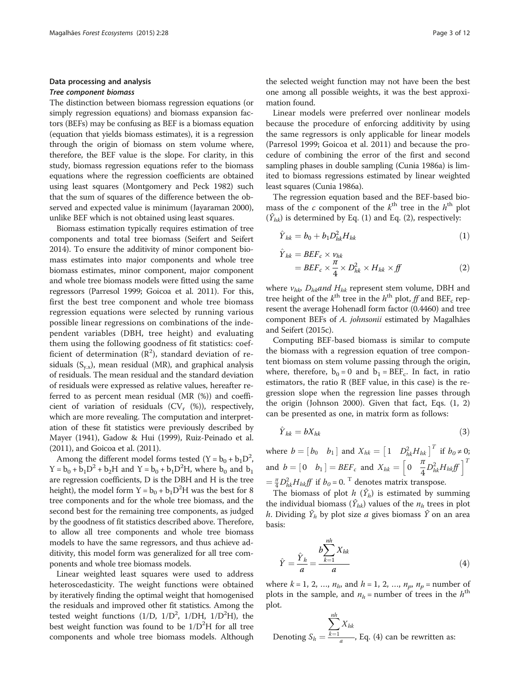## <span id="page-2-0"></span>Data processing and analysis Tree component biomass

The distinction between biomass regression equations (or simply regression equations) and biomass expansion factors (BEFs) may be confusing as BEF is a biomass equation (equation that yields biomass estimates), it is a regression through the origin of biomass on stem volume where, therefore, the BEF value is the slope. For clarity, in this study, biomass regression equations refer to the biomass equations where the regression coefficients are obtained using least squares (Montgomery and Peck [1982](#page-10-0)) such that the sum of squares of the difference between the observed and expected value is minimum (Jayaraman [2000](#page-10-0)), unlike BEF which is not obtained using least squares.

Biomass estimation typically requires estimation of tree components and total tree biomass (Seifert and Seifert [2014\)](#page-11-0). To ensure the additivity of minor component biomass estimates into major components and whole tree biomass estimates, minor component, major component and whole tree biomass models were fitted using the same regressors (Parresol [1999;](#page-10-0) Goicoa et al. [2011\)](#page-10-0). For this, first the best tree component and whole tree biomass regression equations were selected by running various possible linear regressions on combinations of the independent variables (DBH, tree height) and evaluating them using the following goodness of fit statistics: coefficient of determination  $(R^2)$ , standard deviation of residuals  $(S_{v,x})$ , mean residual (MR), and graphical analysis of residuals. The mean residual and the standard deviation of residuals were expressed as relative values, hereafter referred to as percent mean residual (MR (%)) and coefficient of variation of residuals ( $CV_r$  (%)), respectively, which are more revealing. The computation and interpretation of these fit statistics were previously described by Mayer [\(1941\)](#page-10-0), Gadow & Hui [\(1999](#page-10-0)), Ruiz-Peinado et al. ([2011](#page-11-0)), and Goicoa et al. ([2011](#page-10-0)).

Among the different model forms tested  $(Y = b_0 + b_1D^2)$ ,  $Y = b_0 + b_1 D^2 + b_2 H$  and  $Y = b_0 + b_1 D^2 H$ , where  $b_0$  and  $b_1$ are regression coefficients, D is the DBH and H is the tree height), the model form  $Y = b_0 + b_1 D^2 H$  was the best for 8 tree components and for the whole tree biomass, and the second best for the remaining tree components, as judged by the goodness of fit statistics described above. Therefore, to allow all tree components and whole tree biomass models to have the same regressors, and thus achieve additivity, this model form was generalized for all tree components and whole tree biomass models.

Linear weighted least squares were used to address heteroscedasticity. The weight functions were obtained by iteratively finding the optimal weight that homogenised the residuals and improved other fit statistics. Among the tested weight functions  $(1/D, 1/D^2, 1/DH, 1/D^2H)$ , the best weight function was found to be  $1/D^2H$  for all tree components and whole tree biomass models. Although

the selected weight function may not have been the best one among all possible weights, it was the best approximation found.

Linear models were preferred over nonlinear models because the procedure of enforcing additivity by using the same regressors is only applicable for linear models (Parresol [1999](#page-10-0); Goicoa et al. [2011\)](#page-10-0) and because the procedure of combining the error of the first and second sampling phases in double sampling (Cunia [1986a\)](#page-10-0) is limited to biomass regressions estimated by linear weighted least squares (Cunia [1986a](#page-10-0)).

The regression equation based and the BEF-based biomass of the c component of the  $k^{\text{th}}$  tree in the  $h^{\text{th}}$  plot  $(\hat{Y}_{hk})$  is determined by Eq. (1) and Eq. (2), respectively:

$$
\hat{Y}_{hk} = b_0 + b_1 D_{hk}^2 H_{hk} \tag{1}
$$

$$
\hat{Y}_{hk} = BEF_c \times v_{hk}
$$
\n
$$
= BEF_c \times \frac{\pi}{4} \times D_{hk}^2 \times H_{hk} \times ff
$$
\n(2)

where  $v_{hk}$  D<sub>hk</sub>and H<sub>hk</sub> represent stem volume, DBH and tree height of the  $k^{\text{th}}$  tree in the  $h^{\text{th}}$  plot, ff and BEF<sub>c</sub> represent the average Hohenadl form factor (0.4460) and tree component BEFs of A. johnsonii estimated by Magalhães and Seifert [\(2015c\)](#page-10-0).

Computing BEF-based biomass is similar to compute the biomass with a regression equation of tree compontent biomass on stem volume passing through the origin, where, therefore,  $b_0 = 0$  and  $b_1 = BEF_c$ . In fact, in ratio estimators, the ratio R (BEF value, in this case) is the regression slope when the regression line passes through the origin (Johnson [2000](#page-10-0)). Given that fact, Eqs. (1, 2) can be presented as one, in matrix form as follows:

$$
\hat{Y}_{hk} = bX_{hk} \tag{3}
$$

where  $b = [b_0 \quad b_1]$  and  $X_{hk} = [1 \quad D_h^2 H_{hk}]^T$  if  $b_0 \neq 0$ ; and  $b = \begin{bmatrix} 0 & b_1 \end{bmatrix} = BEF_c$  and  $X_{hk} = \begin{bmatrix} 0 & \frac{\pi}{4} \\ 0 & \frac{\pi}{4} \end{bmatrix}$ 4  $\begin{bmatrix} 0 & \frac{\pi}{4} D_{hk}^2 H_{hk} f \end{bmatrix}^T$  $=\frac{\pi}{4}D_{hk}^2H_{hk}f\!f$  if  $b_0$  = 0. <sup>T</sup> denotes matrix transpose.

The biomass of plot  $h(\hat{Y}_h)$  is estimated by summing the individual biomass  $(\hat{Y}_{hk})$  values of the  $n_h$  trees in plot h. Dividing  $\hat{Y}_h$  by plot size a gives biomass  $\hat{Y}$  on an area basis:

$$
\hat{Y} = \frac{\hat{Y}_h}{a} = \frac{b \sum_{k=1}^{nh} X_{hk}}{a}
$$
\n(4)

where  $k = 1, 2, ..., n_h$ , and  $h = 1, 2, ..., n_p$ ,  $n_p$  = number of plots in the sample, and  $n_h$  = number of trees in the  $h<sup>th</sup>$ plot.

Denoting 
$$
S_h = \frac{\sum_{k=1}^{nh} X_{hk}}{a}
$$
, Eq. (4) can be rewritten as: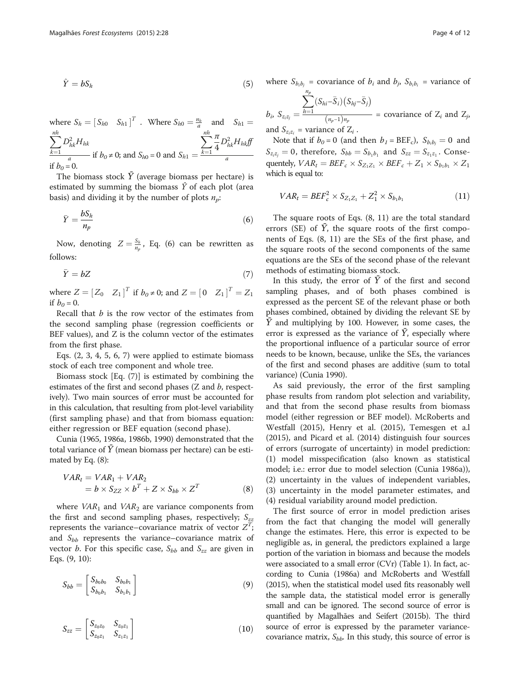$$
\hat{Y} = bS_h \tag{5}
$$

where  $S_h = [S_{h0} \quad S_{h1}]^T$ . Where  $S_{h0} = \frac{n_h}{a}$  and  $S_{h1} =$  $\sum$ nh  $\overline{k=1}$  $D^2_{hk} H_{hk}$ a if  $b_0 \neq 0$ ; and  $S_{h0} = 0$  and  $S_{h1} =$  $\sum$ nh  $\overline{k=1}$ π 4  $D^{2}_{hk}H_{hk}f\hspace{-8pt}/\,\,\hspace{0.25pt}$  $\frac{a}{\ln b_0} = 0$  in  $b_0 \neq 0$ ; and  $b_{h0} = 0$  and  $b_{h1} = \frac{a}{a}$ 

The biomass stock  $\overline{Y}$  (average biomass per hectare) is estimated by summing the biomass  $\hat{Y}$  of each plot (area basis) and dividing it by the number of plots  $n_p$ :

$$
\bar{Y} = \frac{bS_h}{n_p} \tag{6}
$$

Now, denoting  $Z = \frac{S_h}{n_p}$ , Eq. (6) can be rewritten as follows:

$$
\bar{Y} = bZ \tag{7}
$$

where  $Z = [Z_0 \ Z_1]^T$  if  $b_0 \neq 0$ ; and  $Z = [0 \ Z_1]^T = Z_1$ if  $b<sub>0</sub> = 0$ .

Recall that  $b$  is the row vector of the estimates from the second sampling phase (regression coefficients or BEF values), and Z is the column vector of the estimates from the first phase.

Eqs. [\(2, 3](#page-2-0), [4](#page-2-0), 5, 6, 7) were applied to estimate biomass stock of each tree component and whole tree.

Biomass stock [Eq. (7)] is estimated by combining the estimates of the first and second phases (Z and b, respectively). Two main sources of error must be accounted for in this calculation, that resulting from plot-level variability (first sampling phase) and that from biomass equation: either regression or BEF equation (second phase).

Cunia [\(1965, 1986a](#page-10-0), [1986b](#page-10-0), [1990\)](#page-10-0) demonstrated that the total variance of  $\bar{Y}$  (mean biomass per hectare) can be estimated by Eq. (8):

$$
VARt = VAR1 + VAR2
$$
  
=  $b \times S_{ZZ} \times bT + Z \times S_{bb} \times ZT$  (8)

where  $VAR<sub>1</sub>$  and  $VAR<sub>2</sub>$  are variance components from the first and second sampling phases, respectively;  $S_{zz}$ represents the variance–covariance matrix of vector  $Z^{\widetilde{T}}$ ; and  $S_{bb}$  represents the variance–covariance matrix of vector *b*. For this specific case,  $S_{bb}$  and  $S_{zz}$  are given in Eqs. (9, 10):

$$
S_{bb} = \begin{bmatrix} S_{b_0 b_0} & S_{b_0 b_1} \\ S_{b_0 b_1} & S_{b_1 b_1} \end{bmatrix}
$$
 (9)

$$
S_{zz} = \begin{bmatrix} S_{z_0 z_0} & S_{z_0 z_1} \\ S_{z_0 z_1} & S_{z_1 z_1} \end{bmatrix}
$$
 (10)

where  $S_{b_i b_j}$  = covariance of  $b_i$  and  $b_j$ ,  $S_{b_i b_i}$  = variance of  $\sum_{p}$ 

$$
\tilde{S}_{z_iz_i} = \frac{\sum (S_{hi} - \overline{S}_i) (S_{hj} - \overline{S}_j)}{\sum (z_{hi} - \overline{S}_i)}
$$

 $b_i$ ,  $S_{z_i z_j}$  =  $\left(n_p-1\right)n_p$ = covariance of  $Z_i$  and  $Z_j$ , and  $S_{z_iz_i}$  = variance of  $Z_i$ .

Note that if  $b_0 = 0$  (and then  $b_1 = \text{BEF}_c$ ),  $S_{b_i b_i} = 0$  and  $S_{z_iz_j} = 0$ , therefore,  $S_{bb} = S_{b_1b_1}$  and  $S_{zz} = S_{z_1z_1}$ . Consequentely,  $VAR_t = BEF_c \times$  $\times S_{Z_1Z_1} \times BEF_c + Z_1 \times S_{b_1b_1} \times Z_1$ which is equal to:

$$
VAR_t = BEF_c^2 \times S_{Z_1Z_1} + Z_1^2 \times S_{b_1b_1}
$$
 (11)

The square roots of Eqs. (8, 11) are the total standard errors (SE) of  $\overline{Y}$ , the square roots of the first components of Eqs. (8, 11) are the SEs of the first phase, and the square roots of the second components of the same equations are the SEs of the second phase of the relevant methods of estimating biomass stock.

In this study, the error of  $\bar{Y}$  of the first and second sampling phases, and of both phases combined is expressed as the percent SE of the relevant phase or both phases combined, obtained by dividing the relevant SE by  $\bar{Y}$  and multiplying by 100. However, in some cases, the error is expressed as the variance of  $\overline{Y}$ , especially where the proportional influence of a particular source of error needs to be known, because, unlike the SEs, the variances of the first and second phases are additive (sum to total variance) (Cunia [1990](#page-10-0)).

As said previously, the error of the first sampling phase results from random plot selection and variability, and that from the second phase results from biomass model (either regression or BEF model). McRoberts and Westfall [\(2015\)](#page-10-0), Henry et al. [\(2015\)](#page-10-0), Temesgen et a.l ([2015\)](#page-11-0), and Picard et al. [\(2014](#page-11-0)) distinguish four sources of errors (surrogate of uncertainty) in model prediction: (1) model misspecification (also known as statistical model; i.e.: error due to model selection (Cunia [1986a](#page-10-0))), (2) uncertainty in the values of independent variables, (3) uncertainty in the model parameter estimates, and (4) residual variability around model prediction.

The first source of error in model prediction arises from the fact that changing the model will generally change the estimates. Here, this error is expected to be negligible as, in general, the predictors explained a large portion of the variation in biomass and because the models were associated to a small error (CVr) (Table [1](#page-4-0)). In fact, according to Cunia [\(1986a\)](#page-10-0) and McRoberts and Westfall ([2015\)](#page-10-0), when the statistical model used fits reasonably well the sample data, the statistical model error is generally small and can be ignored. The second source of error is quantified by Magalhães and Seifert [\(2015b](#page-10-0)). The third source of error is expressed by the parameter variancecovariance matrix,  $S_{bb}$ . In this study, this source of error is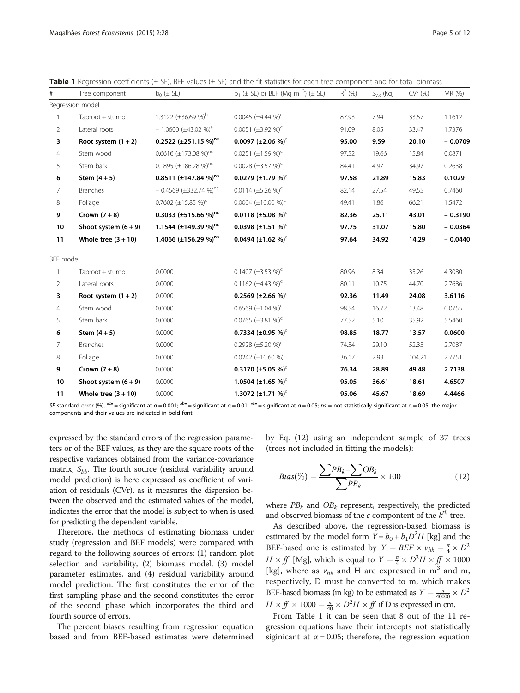<span id="page-4-0"></span>

|  |  | <b>Table 1</b> Regression coefficients ( $\pm$ SE), BEF values ( $\pm$ SE) and the fit statistics for each tree component and for total biomass |  |  |  |  |  |  |  |  |  |  |  |  |  |
|--|--|-------------------------------------------------------------------------------------------------------------------------------------------------|--|--|--|--|--|--|--|--|--|--|--|--|--|
|--|--|-------------------------------------------------------------------------------------------------------------------------------------------------|--|--|--|--|--|--|--|--|--|--|--|--|--|

| #              | Tree component         | $b_0$ ( $\pm$ SE)                      | $b_1$ ( $\pm$ SE) or BEF (Mg m <sup>-3</sup> ) ( $\pm$ SE) | $R^2$ (%) | $S_{y.x}$ (Kg) | CVr (%) | MR (%)    |
|----------------|------------------------|----------------------------------------|------------------------------------------------------------|-----------|----------------|---------|-----------|
|                | Regression model       |                                        |                                                            |           |                |         |           |
|                | Taproot + stump        | 1.3122 (±36.69 %) <sup>b</sup>         | 0.0045 $(\pm 4.44 \%)^c$                                   | 87.93     | 7.94           | 33.57   | 1.1612    |
| 2              | Lateral roots          | $-1.0600 \ (\pm 43.02 \ \%)^a$         | 0.0051 $(\pm 3.92\%)^c$                                    | 91.09     | 8.05           | 33.47   | 1.7376    |
| 3              | Root system $(1 + 2)$  | 0.2522 $(\pm 251.15\%)^{ns}$           | 0.0097 (±2.06 %) <sup>c</sup>                              | 95.00     | 9.59           | 20.10   | $-0.0709$ |
| 4              | Stem wood              | 0.6616 $(\pm 173.08\%)^{ns}$           | 0.0251 $(\pm 1.59\%)^c$                                    | 97.52     | 19.66          | 15.84   | 0.0871    |
| 5              | Stem bark              | 0.1895 (±186.28 %) <sup>ns</sup>       | 0.0028 $(\pm 3.57 \%)^c$                                   | 84.41     | 4.97           | 34.97   | 0.2638    |
| 6              | Stem $(4+5)$           | 0.8511 (±147.84 %) <sup>ns</sup>       | 0.0279 (±1.79 %) <sup>c</sup>                              | 97.58     | 21.89          | 15.83   | 0.1029    |
| 7              | <b>Branches</b>        | $-0.4569$ (±332.74 %) <sup>ns</sup>    | 0.0114 $(\pm 5.26\%)^c$                                    | 82.14     | 27.54          | 49.55   | 0.7460    |
| 8              | Foliage                | 0.7602 $(\pm 15.85\%)^c$               | 0.0004 $(\pm 10.00\%)^c$                                   | 49.41     | 1.86           | 66.21   | 1.5472    |
| 9              | Crown $(7+8)$          | 0.3033 ( $\pm$ 515.66 %) <sup>ns</sup> | 0.0118 (±5.08 %) <sup>c</sup>                              | 82.36     | 25.11          | 43.01   | $-0.3190$ |
| 10             | Shoot system $(6 + 9)$ | 1.1544 (±149.39 %) <sup>ns</sup>       | 0.0398 (±1.51 %) <sup>c</sup>                              | 97.75     | 31.07          | 15.80   | $-0.0364$ |
| 11             | Whole tree $(3 + 10)$  | 1.4066 (±156.29 %) <sup>ns</sup>       | 0.0494 (±1.62 %) <sup><math>\text{C}</math></sup>          | 97.64     | 34.92          | 14.29   | $-0.0440$ |
| BEF model      |                        |                                        |                                                            |           |                |         |           |
| 1              | Taproot + stump        | 0.0000                                 | 0.1407 $(\pm 3.53\%)^c$                                    | 80.96     | 8.34           | 35.26   | 4.3080    |
| 2              | Lateral roots          | 0.0000                                 | 0.1162 $(\pm 4.43\%)^c$                                    | 80.11     | 10.75          | 44.70   | 2.7686    |
| 3              | Root system $(1 + 2)$  | 0.0000                                 | 0.2569 (±2.66 %) <sup>c</sup>                              | 92.36     | 11.49          | 24.08   | 3.6116    |
| 4              | Stem wood              | 0.0000                                 | 0.6569 $(\pm 1.04\%)^c$                                    | 98.54     | 16.72          | 13.48   | 0.0755    |
| 5              | Stem bark              | 0.0000                                 | 0.0765 $(\pm 3.81 \%)^c$                                   | 77.52     | 5.10           | 35.92   | 5.5460    |
| 6              | Stem $(4+5)$           | 0.0000                                 | 0.7334 (±0.95 %) <sup>c</sup>                              | 98.85     | 18.77          | 13.57   | 0.0600    |
| $\overline{7}$ | <b>Branches</b>        | 0.0000                                 | 0.2928 $(\pm 5.20\%)^c$                                    | 74.54     | 29.10          | 52.35   | 2.7087    |
| 8              | Foliage                | 0.0000                                 | 0.0242 $(\pm 10.60\%)^c$                                   | 36.17     | 2.93           | 104.21  | 2.7751    |
| 9              | Crown $(7+8)$          | 0.0000                                 | 0.3170 (±5.05 %) <sup>c</sup>                              | 76.34     | 28.89          | 49.48   | 2.7138    |
| 10             | Shoot system $(6 + 9)$ | 0.0000                                 | 1.0504 (±1.65 %) <sup>c</sup>                              | 95.05     | 36.61          | 18.61   | 4.6507    |
| 11             | Whole tree $(3 + 10)$  | 0.0000                                 | 1.3072 $(\pm 1.71 \%)^c$                                   | 95.06     | 45.67          | 18.69   | 4.4466    |

SE standard error (%), "<sup>c</sup>" = significant at α = 0.001; "<sup>b</sup>" = significant at α = 0.01; "<sup>a</sup>" = significant at α = 0.05; *ns =* not statistically significant at α = 0.05; the major components and their values are indicated in bold font

expressed by the standard errors of the regression parameters or of the BEF values, as they are the square roots of the respective variances obtained from the variance-covariance matrix,  $S_{bb}$ . The fourth source (residual variability around model prediction) is here expressed as coefficient of variation of residuals (CVr), as it measures the dispersion between the observed and the estimated values of the model, indicates the error that the model is subject to when is used for predicting the dependent variable.

Therefore, the methods of estimating biomass under study (regression and BEF models) were compared with regard to the following sources of errors: (1) random plot selection and variability, (2) biomass model, (3) model parameter estimates, and (4) residual variability around model prediction. The first constitutes the error of the first sampling phase and the second constitutes the error of the second phase which incorporates the third and fourth source of errors.

The percent biases resulting from regression equation based and from BEF-based estimates were determined by Eq. (12) using an independent sample of 37 trees (trees not included in fitting the models):

$$
Bias(\%) = \frac{\sum PB_k - \sum OB_k}{\sum PB_k} \times 100 \tag{12}
$$

where  $PB<sub>k</sub>$  and  $OB<sub>k</sub>$  represent, respectively, the predicted and observed biomass of the  $c$  compontent of the  $k<sup>th</sup>$  tree.

As described above, the regression-based biomass is estimated by the model form  $Y = b_0 + b_1 D^2 H$  [kg] and the BEF-based one is estimated by  $Y = BEF \times v_{hk} = \frac{\pi}{4} \times D^2$  $H \times ff$  [Mg], which is equal to  $Y = \frac{\pi}{4} \times D^2 H \times ff \times 1000$ [kg], where as  $v_{hk}$  and H are expressed in m<sup>3</sup> and m, respectively, D must be converted to m, which makes BEF-based biomass (in kg) to be estimated as  $Y = \frac{\pi}{40000} \times D^2$  $H \times ff \times 1000 = \frac{\pi}{40} \times D^2 H \times ff$  if D is expressed in cm.

From Table 1 it can be seen that 8 out of the 11 regression equations have their intercepts not statistically siginicant at  $\alpha$  = 0.05; therefore, the regression equation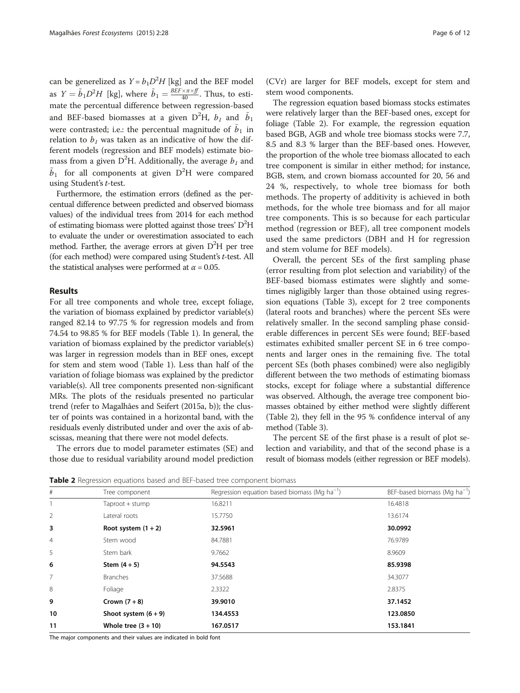<span id="page-5-0"></span>can be generelized as  $Y = b_1 D^2 H$  [kg] and the BEF model as  $Y = \tilde{b}_1 D^2 H$  [kg], where  $\tilde{b}_1 = \frac{BEF \times \pi \times ff}{40}$ . Thus, to estimate the percentual difference between regression-based and BEF-based biomasses at a given D $^2$ H,  $b_{\rm \scriptscriptstyle I}$  and  $\tilde{b}_{\rm \scriptscriptstyle I}$ were contrasted; i.e.: the percentual magnitude of  $\tilde{b}_1$  in relation to  $b_1$  was taken as an indicative of how the different models (regression and BEF models) estimate biomass from a given D<sup>2</sup>H. Additionally, the average  $b_1$  and  $\tilde{b}_1$  for all components at given D<sup>2</sup>H were compared using Student's t-test.

Furthermore, the estimation errors (defined as the percentual difference between predicted and observed biomass values) of the individual trees from 2014 for each method of estimating biomass were plotted against those trees'  $D^2H$ to evaluate the under or overestimation associated to each method. Farther, the average errors at given  $D^2H$  per tree (for each method) were compared using Student's t-test. All the statistical analyses were performed at  $\alpha$  = 0.05.

## Results

For all tree components and whole tree, except foliage, the variation of biomass explained by predictor variable(s) ranged 82.14 to 97.75 % for regression models and from 74.54 to 98.85 % for BEF models (Table [1](#page-4-0)). In general, the variation of biomass explained by the predictor variable(s) was larger in regression models than in BEF ones, except for stem and stem wood (Table [1\)](#page-4-0). Less than half of the variation of foliage biomass was explained by the predictor variable(s). All tree components presented non-significant MRs. The plots of the residuals presented no particular trend (refer to Magalhães and Seifert ([2015a](#page-10-0), [b](#page-10-0))); the cluster of points was contained in a horizontal band, with the residuals evenly distributed under and over the axis of abscissas, meaning that there were not model defects.

The errors due to model parameter estimates (SE) and those due to residual variability around model prediction

(CVr) are larger for BEF models, except for stem and stem wood components.

The regression equation based biomass stocks estimates were relatively larger than the BEF-based ones, except for foliage (Table 2). For example, the regression equation based BGB, AGB and whole tree biomass stocks were 7.7, 8.5 and 8.3 % larger than the BEF-based ones. However, the proportion of the whole tree biomass allocated to each tree component is similar in either method; for instance, BGB, stem, and crown biomass accounted for 20, 56 and 24 %, respectively, to whole tree biomass for both methods. The property of additivity is achieved in both methods, for the whole tree biomass and for all major tree components. This is so because for each particular method (regression or BEF), all tree component models used the same predictors (DBH and H for regression and stem volume for BEF models).

Overall, the percent SEs of the first sampling phase (error resulting from plot selection and variability) of the BEF-based biomass estimates were slightly and sometimes nigligibly larger than those obtained using regression equations (Table [3\)](#page-6-0), except for 2 tree components (lateral roots and branches) where the percent SEs were relatively smaller. In the second sampling phase considerable differences in percent SEs were found; BEF-based estimates exhibited smaller percent SE in 6 tree components and larger ones in the remaining five. The total percent SEs (both phases combined) were also negligibly different between the two methods of estimating biomass stocks, except for foliage where a substantial difference was observed. Although, the average tree component biomasses obtained by either method were slightly different (Table 2), they fell in the 95 % confidence interval of any method (Table [3](#page-6-0)).

The percent SE of the first phase is a result of plot selection and variability, and that of the second phase is a result of biomass models (either regression or BEF models).

Table 2 Regression equations based and BEF-based tree component biomass

| $\#$           | Tree component         | Regression equation based biomass (Mg $ha^{-1}$ ) | BEF-based biomass (Mg ha <sup>-1</sup> ) |
|----------------|------------------------|---------------------------------------------------|------------------------------------------|
|                | Taproot + stump        | 16.8211                                           | 16.4818                                  |
| 2              | Lateral roots          | 15.7750                                           | 13.6174                                  |
| 3              | Root system $(1 + 2)$  | 32.5961                                           | 30.0992                                  |
| 4              | Stem wood              | 84.7881                                           | 76.9789                                  |
| 5              | Stem bark              | 9.7662                                            | 8.9609                                   |
| 6              | Stem $(4+5)$           | 94.5543                                           | 85.9398                                  |
| $\overline{7}$ | <b>Branches</b>        | 37.5688                                           | 34.3077                                  |
| 8              | Foliage                | 2.3322                                            | 2.8375                                   |
| 9              | Crown $(7+8)$          | 39.9010                                           | 37.1452                                  |
| 10             | Shoot system $(6 + 9)$ | 134.4553                                          | 123.0850                                 |
| 11             | Whole tree $(3 + 10)$  | 167.0517                                          | 153.1841                                 |

The major components and their values are indicated in bold font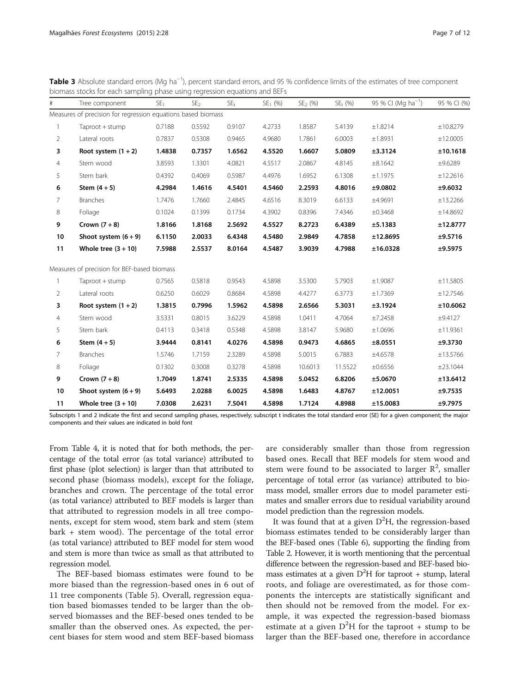<span id="page-6-0"></span>Table 3 Absolute standard errors (Mg ha<sup>-1</sup>), percent standard errors, and 95 % confidence limits of the estimates of tree component biomass stocks for each sampling phase using regression equations and BEFs

| #              | Tree component                                               | SE <sub>1</sub> | SE <sub>2</sub> | $SE_{t}$ | $SE1$ (%) | $SE2$ (%) | $SE_{t}$ (%) | 95 % CI (Mg ha <sup>-1</sup> ) | 95 % CI (%) |
|----------------|--------------------------------------------------------------|-----------------|-----------------|----------|-----------|-----------|--------------|--------------------------------|-------------|
|                | Measures of precision for regression equations based biomass |                 |                 |          |           |           |              |                                |             |
| -1             | Taproot + stump                                              | 0.7188          | 0.5592          | 0.9107   | 4.2733    | 1.8587    | 5.4139       | ±1.8214                        | ±10.8279    |
| $\overline{2}$ | Lateral roots                                                | 0.7837          | 0.5308          | 0.9465   | 4.9680    | 1.7861    | 6.0003       | ±1.8931                        | ±12.0005    |
| 3              | Root system $(1 + 2)$                                        | 1.4838          | 0.7357          | 1.6562   | 4.5520    | 1.6607    | 5.0809       | ±3.3124                        | ±10.1618    |
| 4              | Stem wood                                                    | 3.8593          | 1.3301          | 4.0821   | 4.5517    | 2.0867    | 4.8145       | ±8.1642                        | ±9.6289     |
| 5              | Stem bark                                                    | 0.4392          | 0.4069          | 0.5987   | 4.4976    | 1.6952    | 6.1308       | ±1.1975                        | ±12.2616    |
| 6              | Stem $(4+5)$                                                 | 4.2984          | 1.4616          | 4.5401   | 4.5460    | 2.2593    | 4.8016       | ±9.0802                        | ±9.6032     |
| 7              | <b>Branches</b>                                              | 1.7476          | 1.7660          | 2.4845   | 4.6516    | 8.3019    | 6.6133       | ±4.9691                        | ±13.2266    |
| 8              | Foliage                                                      | 0.1024          | 0.1399          | 0.1734   | 4.3902    | 0.8396    | 7.4346       | ±0.3468                        | ±14.8692    |
| 9              | Crown $(7+8)$                                                | 1.8166          | 1.8168          | 2.5692   | 4.5527    | 8.2723    | 6.4389       | ±5.1383                        | ±12.8777    |
| 10             | Shoot system $(6 + 9)$                                       | 6.1150          | 2.0033          | 6.4348   | 4.5480    | 2.9849    | 4.7858       | ±12.8695                       | ±9.5716     |
| 11             | Whole tree $(3 + 10)$                                        | 7.5988          | 2.5537          | 8.0164   | 4.5487    | 3.9039    | 4.7988       | ±16.0328                       | ±9.5975     |
|                | Measures of precision for BEF-based biomass                  |                 |                 |          |           |           |              |                                |             |
| 1              | Taproot + stump                                              | 0.7565          | 0.5818          | 0.9543   | 4.5898    | 3.5300    | 5.7903       | ±1.9087                        | ±11.5805    |
| 2              | Lateral roots                                                | 0.6250          | 0.6029          | 0.8684   | 4.5898    | 4.4277    | 6.3773       | ±1.7369                        | ±12.7546    |
| 3              | Root system $(1 + 2)$                                        | 1.3815          | 0.7996          | 1.5962   | 4.5898    | 2.6566    | 5.3031       | ±3.1924                        | ±10.6062    |
| 4              | Stem wood                                                    | 3.5331          | 0.8015          | 3.6229   | 4.5898    | 1.0411    | 4.7064       | ±7.2458                        | ±9.4127     |
| 5              | Stem bark                                                    | 0.4113          | 0.3418          | 0.5348   | 4.5898    | 3.8147    | 5.9680       | ±1.0696                        | ±11.9361    |
| 6              | Stem $(4+5)$                                                 | 3.9444          | 0.8141          | 4.0276   | 4.5898    | 0.9473    | 4.6865       | ±8.0551                        | ±9.3730     |
| 7              | <b>Branches</b>                                              | 1.5746          | 1.7159          | 2.3289   | 4.5898    | 5.0015    | 6.7883       | ±4.6578                        | ±13.5766    |
| 8              | Foliage                                                      | 0.1302          | 0.3008          | 0.3278   | 4.5898    | 10.6013   | 11.5522      | ±0.6556                        | ±23.1044    |
| 9              | Crown $(7+8)$                                                | 1.7049          | 1.8741          | 2.5335   | 4.5898    | 5.0452    | 6.8206       | ±5.0670                        | ±13.6412    |
| 10             | Shoot system $(6 + 9)$                                       | 5.6493          | 2.0288          | 6.0025   | 4.5898    | 1.6483    | 4.8767       | ±12.0051                       | ±9.7535     |
| 11             | Whole tree $(3 + 10)$                                        | 7.0308          | 2.6231          | 7.5041   | 4.5898    | 1.7124    | 4.8988       | ±15.0083                       | ±9.7975     |

Subscripts 1 and 2 indicate the first and second sampling phases, respectively; subscript t indicates the total standard error (SE) for a given component; the major components and their values are indicated in bold font

From Table [4,](#page-7-0) it is noted that for both methods, the percentage of the total error (as total variance) attributed to first phase (plot selection) is larger than that attributed to second phase (biomass models), except for the foliage, branches and crown. The percentage of the total error (as total variance) attributed to BEF models is larger than that attributed to regression models in all tree components, except for stem wood, stem bark and stem (stem bark + stem wood). The percentage of the total error (as total variance) attributed to BEF model for stem wood and stem is more than twice as small as that attributed to regression model.

The BEF-based biomass estimates were found to be more biased than the regression-based ones in 6 out of 11 tree components (Table [5](#page-7-0)). Overall, regression equation based biomasses tended to be larger than the observed biomasses and the BEF-besed ones tended to be smaller than the observed ones. As expected, the percent biases for stem wood and stem BEF-based biomass are considerably smaller than those from regression based ones. Recall that BEF models for stem wood and stem were found to be associated to larger  $\mathbb{R}^2$ , smaller percentage of total error (as variance) attributed to biomass model, smaller errors due to model parameter estimates and smaller errors due to residual variability around model prediction than the regression models.

It was found that at a given  $D^2H$ , the regression-based biomass estimates tended to be considerably larger than the BEF-based ones (Table [6\)](#page-8-0), supporting the finding from Table [2.](#page-5-0) However, it is worth mentioning that the percentual difference between the regression-based and BEF-based biomass estimates at a given  $D^2H$  for taproot + stump, lateral roots, and foliage are overestimated, as for those components the intercepts are statistically significant and then should not be removed from the model. For example, it was expected the regression-based biomass estimate at a given  $D^2H$  for the taproot + stump to be larger than the BEF-based one, therefore in accordance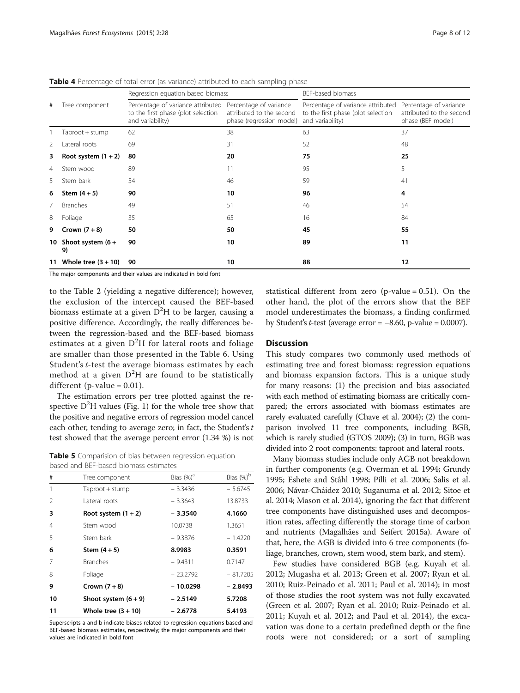|    |                              | Regression equation based biomass                                                           |                                                                                | BEF-based biomass                                                                           |                                                                         |
|----|------------------------------|---------------------------------------------------------------------------------------------|--------------------------------------------------------------------------------|---------------------------------------------------------------------------------------------|-------------------------------------------------------------------------|
| #  | Tree component               | Percentage of variance attributed<br>to the first phase (plot selection<br>and variability) | Percentage of variance<br>attributed to the second<br>phase (regression model) | Percentage of variance attributed<br>to the first phase (plot selection<br>and variability) | Percentage of variance<br>attributed to the second<br>phase (BEF model) |
|    | Taproot + stump              | 62                                                                                          | 38                                                                             | 63                                                                                          | 37                                                                      |
| 2  | Lateral roots                | 69                                                                                          | 31                                                                             | 52                                                                                          | 48                                                                      |
| 3  | Root system $(1 + 2)$        | 80                                                                                          | 20                                                                             | 75                                                                                          | 25                                                                      |
| 4  | Stem wood                    | 89                                                                                          | 11                                                                             | 95                                                                                          | 5                                                                       |
| 5  | Stem bark                    | 54                                                                                          | 46                                                                             | 59                                                                                          | 41                                                                      |
| 6  | Stem $(4+5)$                 | 90                                                                                          | 10                                                                             | 96                                                                                          | 4                                                                       |
|    | <b>Branches</b>              | 49                                                                                          | 51                                                                             | 46                                                                                          | 54                                                                      |
| 8  | Foliage                      | 35                                                                                          | 65                                                                             | 16                                                                                          | 84                                                                      |
| 9  | Crown $(7+8)$                | 50                                                                                          | 50                                                                             | 45                                                                                          | 55                                                                      |
|    | 10 Shoot system $(6 +$<br>9) | 90                                                                                          | 10                                                                             | 89                                                                                          | 11                                                                      |
| 11 | Whole tree $(3 + 10)$        | 90                                                                                          | 10                                                                             | 88                                                                                          | 12                                                                      |

<span id="page-7-0"></span>**Table 4** Percentage of total error (as variance) attributed to each sampling phase

The major components and their values are indicated in bold font

to the Table [2](#page-5-0) (yielding a negative difference); however, the exclusion of the intercept caused the BEF-based biomass estimate at a given  $\mathrm{D}^2\mathrm{H}$  to be larger, causing a positive difference. Accordingly, the really differences between the regression-based and the BEF-based biomass estimates at a given  $D^2H$  for lateral roots and foliage are smaller than those presented in the Table [6.](#page-8-0) Using Student's t-test the average biomass estimates by each method at a given  $D^2H$  are found to be statistically different (p-value  $= 0.01$ ).

The estimation errors per tree plotted against the respective  $D^2H$  values (Fig. [1](#page-8-0)) for the whole tree show that the positive and negative errors of regression model cancel each other, tending to average zero; in fact, the Student's  $t$ test showed that the average percent error (1.34 %) is not

Table 5 Comparision of bias between regression equation based and BEF-based biomass estimates

| #             | Tree component         | Bias $(\%)^a$ | Bias (%) <sup>b</sup> |
|---------------|------------------------|---------------|-----------------------|
|               | Taproot + stump        | $-3.3436$     | $-5.6745$             |
| $\mathcal{L}$ | Lateral roots          | $-3.3643$     | 13.8733               |
| 3             | Root system $(1 + 2)$  | $-3.3540$     | 4.1660                |
| 4             | Stem wood              | 10.0738       | 1.3651                |
| 5             | Stem bark              | $-9.3876$     | $-1.4220$             |
| 6             | Stem $(4+5)$           | 8.9983        | 0.3591                |
| 7             | <b>Branches</b>        | $-9.4311$     | 0.7147                |
| 8             | Foliage                | $-23.2792$    | $-81.7205$            |
| 9             | Crown $(7+8)$          | - 10.0298     | $-2.8493$             |
| 10            | Shoot system $(6 + 9)$ | - 2.5149      | 5.7208                |
| 11            | Whole tree $(3 + 10)$  | $-2.6778$     | 5.4193                |
|               |                        |               |                       |

Superscripts a and b indicate biases related to regression equations based and BEF-based biomass estimates, respectively; the major components and their values are indicated in bold font

statistical different from zero (p-value  $= 0.51$ ). On the other hand, the plot of the errors show that the BEF model underestimates the biomass, a finding confirmed by Student's t-test (average error =  $-8.60$ , p-value = 0.0007).

## **Discussion**

This study compares two commonly used methods of estimating tree and forest biomass: regression equations and biomass expansion factors. This is a unique study for many reasons: (1) the precision and bias associated with each method of estimating biomass are critically compared; the errors associated with biomass estimates are rarely evaluated carefully (Chave et al. [2004](#page-10-0)); (2) the comparison involved 11 tree components, including BGB, which is rarely studied (GTOS [2009\)](#page-10-0); (3) in turn, BGB was divided into 2 root components: taproot and lateral roots.

Many biomass studies include only AGB not breakdown in further components (e.g. Overman et al. [1994](#page-10-0); Grundy [1995](#page-10-0); Eshete and Ståhl [1998;](#page-10-0) Pilli et al. [2006;](#page-11-0) Salis et al. [2006](#page-11-0); Návar-Cháidez [2010](#page-10-0); Suganuma et al. [2012](#page-11-0); Sitoe et al. [2014](#page-11-0); Mason et al. [2014\)](#page-10-0), ignoring the fact that different tree components have distinguished uses and decomposition rates, affecting differently the storage time of carbon and nutrients (Magalhães and Seifert [2015a\)](#page-10-0). Aware of that, here, the AGB is divided into 6 tree components (foliage, branches, crown, stem wood, stem bark, and stem).

Few studies have considered BGB (e.g. Kuyah et al. [2012](#page-10-0); Mugasha et al. [2013](#page-10-0); Green et al. [2007;](#page-10-0) Ryan et al. [2010](#page-11-0); Ruiz-Peinado et al. [2011;](#page-11-0) Paul et al. [2014\)](#page-10-0); in most of those studies the root system was not fully excavated (Green et al. [2007;](#page-10-0) Ryan et al. [2010](#page-11-0); Ruiz-Peinado et al. [2011](#page-11-0); Kuyah et al. [2012;](#page-10-0) and Paul et al. [2014\)](#page-10-0), the excavation was done to a certain predefined depth or the fine roots were not considered; or a sort of sampling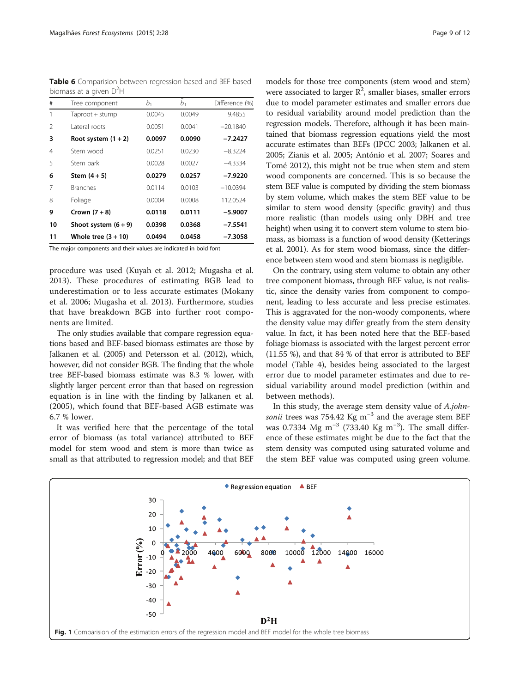<span id="page-8-0"></span>Table 6 Comparision between regression-based and BEF-based biomass at a given  $D^2H$ 

| #              | Tree component        | $b_1$  | b <sub>1</sub> | Difference (%) |
|----------------|-----------------------|--------|----------------|----------------|
| 1              | Taproot + stump       | 0.0045 | 0.0049         | 9.4855         |
| $\mathfrak{D}$ | Lateral roots         | 0.0051 | 0.0041         | $-20.1840$     |
| 3              | Root system $(1 + 2)$ | 0.0097 | 0.0090         | $-7.2427$      |
| $\overline{4}$ | Stem wood             | 0.0251 | 0.0230         | $-8.3224$      |
| 5              | Stem bark             | 0.0028 | 0.0027         | $-4.3334$      |
| 6              | Stem $(4+5)$          | 0.0279 | 0.0257         | $-7.9220$      |
| 7              | <b>Branches</b>       | 0.0114 | 0.0103         | $-10.0394$     |
| 8              | Foliage               | 0.0004 | 0.0008         | 112.0524       |
| 9              | Crown $(7+8)$         | 0.0118 | 0.0111         | $-5.9007$      |
| 10             | Shoot system $(6+9)$  | 0.0398 | 0.0368         | $-7.5541$      |
| 11             | Whole tree $(3 + 10)$ | 0.0494 | 0.0458         | $-7.3058$      |

The major components and their values are indicated in bold font

procedure was used (Kuyah et al. [2012](#page-10-0); Mugasha et al. [2013](#page-10-0)). These procedures of estimating BGB lead to underestimation or to less accurate estimates (Mokany et al. [2006](#page-10-0); Mugasha et al. [2013](#page-10-0)). Furthermore, studies that have breakdown BGB into further root components are limited.

The only studies available that compare regression equations based and BEF-based biomass estimates are those by Jalkanen et al. ([2005\)](#page-10-0) and Petersson et al. [\(2012](#page-10-0)), which, however, did not consider BGB. The finding that the whole tree BEF-based biomass estimate was 8.3 % lower, with slightly larger percent error than that based on regression equation is in line with the finding by Jalkanen et al. ([2005\)](#page-10-0), which found that BEF-based AGB estimate was 6.7 % lower.

It was verified here that the percentage of the total error of biomass (as total variance) attributed to BEF model for stem wood and stem is more than twice as small as that attributed to regression model; and that BEF

models for those tree components (stem wood and stem) were associated to larger  $R^2$ , smaller biases, smaller errors due to model parameter estimates and smaller errors due to residual variability around model prediction than the regression models. Therefore, although it has been maintained that biomass regression equations yield the most accurate estimates than BEFs (IPCC [2003](#page-10-0); Jalkanen et al. [2005](#page-10-0); Zianis et al. [2005;](#page-11-0) António et al. [2007;](#page-9-0) Soares and Tomé [2012](#page-11-0)), this might not be true when stem and stem wood components are concerned. This is so because the stem BEF value is computed by dividing the stem biomass by stem volume, which makes the stem BEF value to be similar to stem wood density (specific gravity) and thus more realistic (than models using only DBH and tree height) when using it to convert stem volume to stem biomass, as biomass is a function of wood density (Ketterings et al. [2001\)](#page-10-0). As for stem wood biomass, since the difference between stem wood and stem biomass is negligible.

On the contrary, using stem volume to obtain any other tree component biomass, through BEF value, is not realistic, since the density varies from component to component, leading to less accurate and less precise estimates. This is aggravated for the non-woody components, where the density value may differ greatly from the stem density value. In fact, it has been noted here that the BEF-based foliage biomass is associated with the largest percent error (11.55 %), and that 84 % of that error is attributed to BEF model (Table [4\)](#page-7-0), besides being associated to the largest error due to model parameter estimates and due to residual variability around model prediction (within and between methods).

In this study, the average stem density value of A.johnsonii trees was 754.42 Kg m<sup>-3</sup> and the average stem BEF was 0.7334 Mg m<sup>-3</sup> (733.40 Kg m<sup>-3</sup>). The small difference of these estimates might be due to the fact that the stem density was computed using saturated volume and the stem BEF value was computed using green volume.

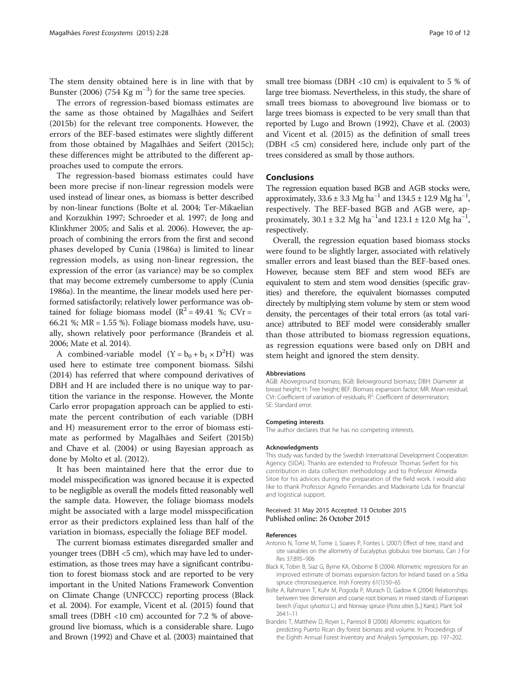<span id="page-9-0"></span>The stem density obtained here is in line with that by Bunster [\(2006\)](#page-10-0) (754 Kg m<sup>-3</sup>) for the same tree species.

The errors of regression-based biomass estimates are the same as those obtained by Magalhães and Seifert ([2015b\)](#page-10-0) for the relevant tree components. However, the errors of the BEF-based estimates were slightly different from those obtained by Magalhães and Seifert [\(2015c](#page-10-0)); these differences might be attributed to the different approaches used to compute the errors.

The regression-based biomass estimates could have been more precise if non-linear regression models were used instead of linear ones, as biomass is better described by non-linear functions (Bolte et al. 2004; Ter-Mikaelian and Korzukhin [1997;](#page-11-0) Schroeder et al. [1997;](#page-11-0) de Jong and Klinkhmer [2005](#page-10-0); and Salis et al. [2006](#page-11-0)). However, the approach of combining the errors from the first and second phases developed by Cunia [\(1986a](#page-10-0)) is limited to linear regression models, as using non-linear regression, the expression of the error (as variance) may be so complex that may become extremely cumbersome to apply (Cunia [1986a](#page-10-0)). In the meantime, the linear models used here performed satisfactorily; relatively lower performance was obtained for foliage biomass model ( $R^2 = 49.41$  %; CVr = 66.21 %;  $MR = 1.55$  %). Foliage biomass models have, usually, shown relatively poor performance (Brandeis et al. 2006; Mate et al. [2014\)](#page-10-0).

A combined-variable model  $(Y = b_0 + b_1 \times D^2H)$  was used here to estimate tree component biomass. Silshi ([2014](#page-11-0)) has referred that where compound derivatives of DBH and H are included there is no unique way to partition the variance in the response. However, the Monte Carlo error propagation approach can be applied to estimate the percent contribution of each variable (DBH and H) measurement error to the error of biomass estimate as performed by Magalhães and Seifert ([2015b](#page-10-0)) and Chave et al. [\(2004\)](#page-10-0) or using Bayesian approach as done by Molto et al. ([2012\)](#page-10-0).

It has been maintained here that the error due to model misspecification was ignored because it is expected to be negligible as overall the models fitted reasonably well the sample data. However, the foliage biomass models might be associated with a large model misspecification error as their predictors explained less than half of the variation in biomass, especially the foliage BEF model.

The current biomass estimates disregarded smaller and younger trees (DBH <5 cm), which may have led to underestimation, as those trees may have a significant contribution to forest biomass stock and are reported to be very important in the United Nations Framework Convention on Climate Change (UNFCCC) reporting process (Black et al. 2004). For example, Vicent et al. [\(2015\)](#page-11-0) found that small trees (DBH <10 cm) accounted for 7.2 % of aboveground live biomass, which is a considerable share. Lugo and Brown ([1992\)](#page-10-0) and Chave et al. ([2003](#page-10-0)) maintained that

small tree biomass (DBH <10 cm) is equivalent to 5 % of large tree biomass. Nevertheless, in this study, the share of small trees biomass to aboveground live biomass or to large trees biomass is expected to be very small than that reported by Lugo and Brown [\(1992](#page-10-0)), Chave et al. [\(2003](#page-10-0)) and Vicent et al. ([2015\)](#page-11-0) as the definition of small trees (DBH <5 cm) considered here, include only part of the trees considered as small by those authors.

## Conclusions

The regression equation based BGB and AGB stocks were, approximately,  $33.6 \pm 3.3$  Mg ha<sup>-1</sup> and  $134.5 \pm 12.9$  Mg ha<sup>-1</sup>, respectively. The BEF-based BGB and AGB were, approximately,  $30.1 \pm 3.2$  Mg ha<sup>-1</sup> and  $123.1 \pm 12.0$  Mg ha<sup>-1</sup>, respectively.

Overall, the regression equation based biomass stocks were found to be slightly larger, associated with relatively smaller errors and least biased than the BEF-based ones. However, because stem BEF and stem wood BEFs are equivalent to stem and stem wood densities (specific gravities) and therefore, the equivalent biomasses computed directely by multiplying stem volume by stem or stem wood density, the percentages of their total errors (as total variance) attributed to BEF model were considerably smaller than those attributed to biomass regression equations, as regression equations were based only on DBH and stem height and ignored the stem density.

#### Abbreviations

AGB: Aboveground biomass; BGB: Belowground biomass; DBH: Diameter at breast height; H: Tree height; BEF: Biomass expansion factor; MR: Mean residual; CVr: Coefficient of variation of residuals;  $R^2$ : Coefficient of determination; SE: Standard error.

#### Competing interests

The author declares that he has no competing interests.

#### Acknowledgments

This study was funded by the Swedish International Development Cooperation Agency (SIDA). Thanks are extended to Professor Thomas Seifert for his contribution in data collection methodology and to Professor Almeida Sitoe for his advices during the preparation of the field work. I would also like to thank Professor Agnelo Fernandes and Madeirarte Lda for financial and logistical support.

#### Received: 31 May 2015 Accepted: 13 October 2015 Published online: 26 October 2015

#### References

- Antonio N, Tome M, Tome J, Soares P, Fontes L (2007) Effect of tree, stand and site variables on the allometry of Eucalyptus globulus tree biomass. Can J For Res 37:895–906
- Black K, Tobin B, Siaz G, Byrne KA, Osborne B (2004) Allometric regressions for an improved estimate of biomass expansion factors for Ireland based on a Sitka spruce chronosequence. Irish Forestry 61(1):50–65
- Bolte A, Rahmann T, Kuhr M, Pogoda P, Murach D, Gadow K (2004) Relationships between tree dimension and coarse root biomass in mixed stands of European beech (Fagus sylvatica L.) and Norway spruce (Picea abies [L.] Karst.). Plant Soil 264:1–11
- Brandeis T, Matthew D, Royer L, Parresol B (2006) Allometric equations for predicting Puerto Rican dry forest biomass and volume. In: Proceedings of the Eighth Annual Forest Inventory and Analysis Symposium, pp. 197–202.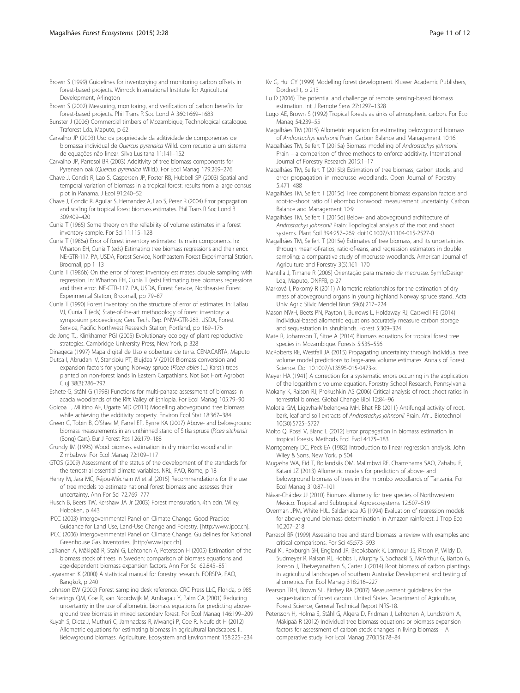- <span id="page-10-0"></span>Brown S (2002) Measuring, monitoring, and verification of carbon benefits for forest-based projects. Phil Trans R Soc Lond A 360:1669–1683
- Bunster J (2006) Commercial timbers of Mozambique, Technological catalogue. Traforest Lda, Maputo, p 62
- Carvalho JP (2003) Uso da propriedade da aditividade de componentes de biomassa individual de Quercus pyrenaica Willd. com recurso a um sistema de equações não linear. Silva Lusitana 11:141–152
- Carvalho JP, Parresol BR (2003) Additivity of tree biomass components for Pyrenean oak (Quercus pyrenaica Willd.). For Ecol Manag 179:269–276
- Chave J, Condit R, Lao S, Caspersen JP, Foster RB, Hubbell SP (2003) Spatial and temporal variation of biomass in a tropical forest: results from a large census plot in Panama. J Ecol 91:240–52
- Chave J, Condic R, Aguilar S, Hernandez A, Lao S, Perez R (2004) Error propagation and scaling for tropical forest biomass estimates. Phil Trans R Soc Lond B 309:409–420
- Cunia T (1965) Some theory on the reliability of volume estimates in a forest inventory sample. For Sci 11:115–128
- Cunia T (1986a) Error of forest inventory estimates: its main components. In: Wharton EH, Cunia T (eds) Estimating tree biomass regressions and their error. NE-GTR-117. PA, USDA, Forest Service, Northeastern Forest Experimental Station, Broomall, pp 1–13
- Cunia T (1986b) On the error of forest inventory estimates: double sampling with regression. In: Wharton EH, Cunia T (eds) Estimating tree biomass regressions and their error. NE-GTR-117. PA, USDA, Forest Service, Northeaster Forest Experimental Station, Broomall, pp 79–87
- Cunia T (1990) Forest inventory: on the structure of error of estimates. In: LaBau VJ, Cunia T (eds) State-of-the-art methodology of forest inventory: a symposium proceedings; Gen. Tech. Rep. PNW-GTR-263. USDA, Forest Service, Pacific Northwest Research Station, Portland, pp 169–176
- de Jong TJ, Klinkhamer PGI (2005) Evolutionary ecology of plant reproductive strategies. Cambridge University Press, New York, p 328
- Dinageca (1997) Mapa digital de Uso e cobertura de terra. CENACARTA, Maputo
- Dutca I, Abrudan IV, Stancioiu PT, Blujdea V (2010) Biomass conversion and expansion factors for young Norway spruce (Picea abies (L.) Karst.) trees planted on non-forest lands in Eastern Carpathians. Not Bot Hort Agrobot Cluj 38(3):286–292
- Eshete G, Ståhl G (1998) Functions for multi-pahase assessment of biomass in acacia woodlands of the Rift Valley of Ethiopia. For Ecol Manag 105:79–90
- Goicoa T, Militino AF, Ugarte MD (2011) Modelling aboveground tree biomass while achieving the additivity property. Environ Ecol Stat 18:367–384
- Green C, Tobin B, O'Shea M, Farrel EP, Byrne KA (2007) Above- and belowground biomass measurements in an unthinned stand of Sitka spruce (Picea sitchensis (Bong) Carr.). Eur J Forest Res 126:179–188
- Grundy IM (1995) Wood biomass estimation in dry miombo woodland in Zimbabwe. For Ecol Manag 72:109–117
- GTOS (2009) Assessment of the status of the development of the standards for the terrestrial essential climate variables. NRL, FAO, Rome, p 18
- Henry M, Jara MC, Réjou-Méchain M et al (2015) Recommendations for the use of tree models to estimate national forest biomass and assesses their uncertainty. Ann For Sci 72:769–777
- Husch B, Beers TW, Kershaw JA Jr (2003) Forest mensuration, 4th edn. Wiley, Hoboken, p 443
- IPCC (2003) Intergovernmental Panel on Climate Change. Good Practice Guidance for Land Use, Land-Use Change and Forestry. [http:/[www.ipcc.ch\]](http://www.ipcc.ch).
- IPCC (2006) Intergovernmental Panel on Climate Change. Guidelines for National Greenhouse Gas Inventories. [http:[/www.ipcc.ch\]](http://www.ipcc.ch).
- Jalkanen A, Mäkipää R, Stahl G, Lehtonen A, Petersson H (2005) Estimation of the biomass stock of trees in Sweden: comparison of biomass equations and age-dependent biomass expansion factors. Ann For Sci 62:845–851
- Jayaraman K (2000) A statistical manual for forestry research. FORSPA, FAO, Bangkok, p 240
- Johnson EW (2000) Forest sampling desk reference. CRC Press LLC, Florida, p 985 Ketterings QM, Coe R, van Noordwijk M, Ambagau Y, Palm CA (2001) Reducing
- uncertainty in the use of allometric biomass equations for predicting aboveground tree biomass in mixed secondary forest. For Ecol Manag 146:199–209 Kuyah S, Dietz J, Muthuri C, Jamnadass R, Mwangi P, Coe R, Neufeldt H (2012)
- Allometric equations for estimating biomass in agricultural landscapes: II. Belowground biomass. Agriculture. Ecosystem and Environment 158:225–234
- Kv G, Hui GY (1999) Modelling forest development. Kluwer Academic Publishers, Dordrecht, p 213
- Lu D (2006) The potential and challenge of remote sensing-based biomass estimation. Int J Remote Sens 27:1297–1328
- Lugo AE, Brown S (1992) Tropical forests as sinks of atmospheric carbon. For Ecol Manag 54:239–55
- Magalhães TM (2015) Allometric equation for estimating belowground biomass of Androstachys jonhsonii Prain. Carbon Balance and Management 10:16
- Magalhães TM, Seifert T (2015a) Biomass modelling of Androstachys johnsonii Prain – a comparison of three methods to enforce additivity. International Journal of Forestry Research 2015:1–17
- Magalhães TM, Seifert T (2015b) Estimation of tree biomass, carbon stocks, and error propagation in mecrusse woodlands. Open Journal of Forestry 5:471–488
- Magalhães TM, Seifert T (2015c) Tree component biomass expansion factors and root-to-shoot ratio of Lebombo ironwood: measurement uncertainty. Carbon Balance and Management 10:9
- Magalhães TM, Seifert T (2015d) Below- and aboveground architecture of Androstachys johnsonii Prain: Topological analysis of the root and shoot systems. Plant Soil 394:257–269. doi:[10.1007/s11104-015-2527-0](http://dx.doi.org/10.1007/s11104-015-2527-0)
- Magalhães TM, Seifert T (2015e) Estimates of tree biomass, and its uncertainties through mean-of-ratios, ratio-of-eans, and regression estimators in double sampling: a comparative study of mecrusse woodlands. American Journal of Agriculture and Forestry 3(5):161–170
- Mantilla J, Timane R (2005) Orientação para maneio de mecrusse. SymfoDesign Lda, Maputo, DNFFB, p 27
- Marková I, Pokorný R (2011) Allometric relationships for the estimation of dry mass of aboveground organs in young highland Norway spruce stand. Acta Univ Agric Silvic Mendel Brun 59(6):217–224
- Mason NWH, Beets PN, Payton I, Burrows L, Holdaway RJ, Carswell FE (2014) Individual-based allometric equations accurately measure carbon storage and sequestration in shrublands. Forest 5:309–324
- Mate R, Johansson T, Sitoe A (2014) Biomass equations for tropical forest tree species in Mozambique. Forests 5:535–556
- McRoberts RE, Westfall JA (2015) Propagating uncertainty through individual tree volume model predictions to large-area volume estimates. Annals of Forest Science. Doi 10.1007/s13595-015-0473-x.
- Meyer HA (1941) A correction for a systematic errors occurring in the application of the logarithmic volume equation. Forestry School Research, Pennsylvania
- Mokany K, Raison RJ, Prokushkin AS (2006) Critical analysis of root: shoot ratios in terrestrial biomes. Global Change Biol 12:84–96
- Molotja GM, Ligavha-Mbelengwa MH, Bhat RB (2011) Antifungal activity of root, bark, leaf and soil extracts of Androstachys johnsonii Prain. Afr J Biotechnol 10(30):5725–5727
- Molto Q, Rossi V, Blanc L (2012) Error propagation in biomass estimation in tropical forests. Methods Ecol Evol 4:175–183
- Montgomery DC, Peck EA (1982) Introduction to linear regression analysis. John Wiley & Sons, New York, p 504
- Mugasha WA, Eid T, Bollandsås OM, Malimbwi RE, Chamshama SAO, Zahabu E, Katani JZ (2013) Allometric models for prediction of above- and belowground biomass of trees in the miombo woodlands of Tanzania. For Ecol Manag 310:87–101
- Návar-Cháidez JJ (2010) Biomass allometry for tree species of Northwestern Mexico. Tropical and Subtropical Agroecosystems 12:507–519
- Overman JPM, White HJL, Saldarriaca JG (1994) Evaluation of regression models for above-ground biomass determination in Amazon rainforest. J Trop Ecol 10:207–218
- Parresol BR (1999) Assessing tree and stand biomass: a review with examples and critical comparisons. For Sci 45:573–593
- Paul KI, Roxburgh SH, England JR, Brooksbank K, Larmour JS, Ritson P, Wildy D, Sudmeyer R, Raison RJ, Hobbs T, Murphy S, Sochacki S, McArthur G, Barton G, Jonson J, Theiveyanathan S, Carter J (2014) Root biomass of carbon plantings in agricultural landscapes of southern Australia: Development and testing of allometrics. For Ecol Manag 318:216–227
- Pearson TRH, Brown SL, Birdsey RA (2007) Measurement guidelines for the sequestration of forest carbon. United States Department of Agriculture, Forest Science, General Technical Report NRS-18.
- Petersson H, Holma S, Ståhl G, Algera D, Fridman J, Lehtonen A, Lundström A, Mäkipää R (2012) Individual tree biomass equations or biomass expansion factors for assessment of carbon stock changes in living biomass – A comparative study. For Ecol Manag 270(15):78–84